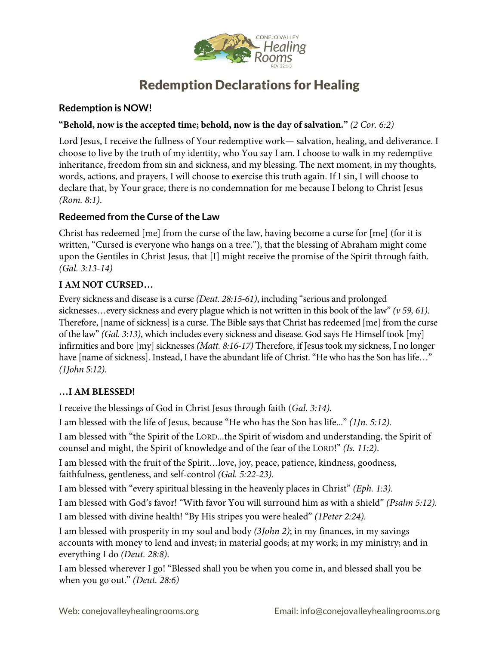

# Redemption Declarations for Healing

## **Redemption is NOW!**

#### **"Behold, now is the accepted time; behold, now is the day of salvation."** *(2 Cor. 6:2)*

Lord Jesus, I receive the fullness of Your redemptive work— salvation, healing, and deliverance. I choose to live by the truth of my identity, who You say I am. I choose to walk in my redemptive inheritance, freedom from sin and sickness, and my blessing. The next moment, in my thoughts, words, actions, and prayers, I will choose to exercise this truth again. If I sin, I will choose to declare that, by Your grace, there is no condemnation for me because I belong to Christ Jesus *(Rom. 8:1)*.

## **Redeemed from the Curse of the Law**

Christ has redeemed [me] from the curse of the law, having become a curse for [me] (for it is written, "Cursed is everyone who hangs on a tree."), that the blessing of Abraham might come upon the Gentiles in Christ Jesus, that [I] might receive the promise of the Spirit through faith. *(Gal. 3:13-14)*

#### **I AM NOT CURSED…**

Every sickness and disease is a curse *(Deut. 28:15-61)*, including "serious and prolonged sicknesses…every sickness and every plague which is not written in this book of the law" *(v 59, 61)*. Therefore, [name of sickness] is a curse. The Bible says that Christ has redeemed [me] from the curse of the law" *(Gal. 3:13)*, which includes every sickness and disease. God says He Himself took [my] infirmities and bore [my] sicknesses *(Matt. 8:16-17)* Therefore, if Jesus took my sickness, I no longer have [name of sickness]. Instead, I have the abundant life of Christ. "He who has the Son has life..." *(1John 5:12)*.

#### **…I AM BLESSED!**

I receive the blessings of God in Christ Jesus through faith (*Gal. 3:14).*

I am blessed with the life of Jesus, because "He who has the Son has life..." *(1Jn. 5:12).*

I am blessed with "the Spirit of the LORD...the Spirit of wisdom and understanding, the Spirit of counsel and might, the Spirit of knowledge and of the fear of the LORD!" *(Is. 11:2)*.

I am blessed with the fruit of the Spirit*…*love, joy, peace, patience, kindness, goodness, faithfulness, gentleness, and self-control *(Gal. 5:22-23).*

I am blessed with "every spiritual blessing in the heavenly places in Christ" *(Eph. 1:3).*

I am blessed with God's favor! "With favor You will surround him as with a shield" *(Psalm 5:12).*

I am blessed with divine health! "By His stripes you were healed" *(1Peter 2:24).*

I am blessed with prosperity in my soul and body *(3John 2)*; in my finances, in my savings accounts with money to lend and invest; in material goods; at my work; in my ministry; and in everything I do *(Deut. 28:8)*.

I am blessed wherever I go! "Blessed shall you be when you come in, and blessed shall you be when you go out." *(Deut. 28:6)*